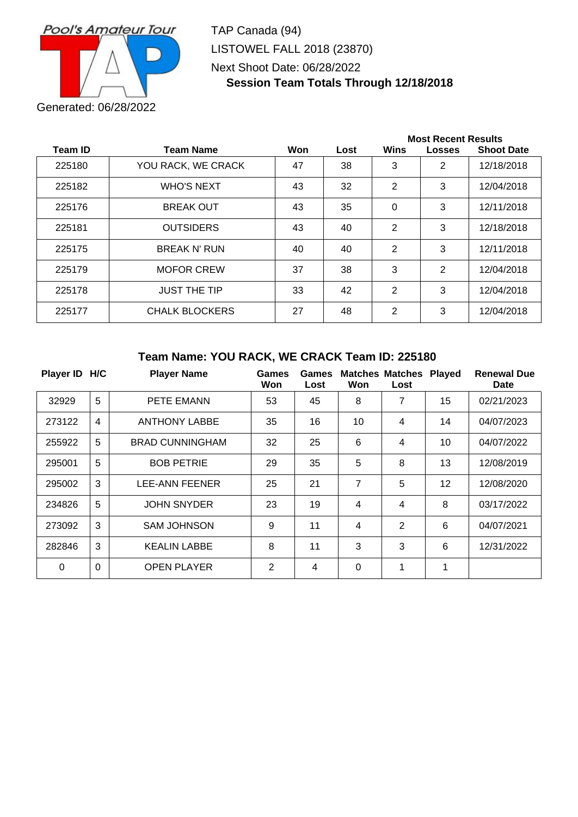

TAP Canada (94) LISTOWEL FALL 2018 (23870) Next Shoot Date: 06/28/2022 **Session Team Totals Through 12/18/2018**

|         |                       |     |      | <b>Most Recent Results</b> |                |                   |  |
|---------|-----------------------|-----|------|----------------------------|----------------|-------------------|--|
| Team ID | <b>Team Name</b>      | Won | Lost | Wins                       | <b>Losses</b>  | <b>Shoot Date</b> |  |
| 225180  | YOU RACK, WE CRACK    | 47  | 38   | 3                          | $\overline{2}$ | 12/18/2018        |  |
| 225182  | <b>WHO'S NEXT</b>     | 43  | 32   | 2                          | 3              | 12/04/2018        |  |
| 225176  | <b>BREAK OUT</b>      | 43  | 35   | 0                          | 3              | 12/11/2018        |  |
| 225181  | <b>OUTSIDERS</b>      | 43  | 40   | 2                          | 3              | 12/18/2018        |  |
| 225175  | <b>BREAK N' RUN</b>   | 40  | 40   | 2                          | 3              | 12/11/2018        |  |
| 225179  | <b>MOFOR CREW</b>     | 37  | 38   | 3                          | 2              | 12/04/2018        |  |
| 225178  | <b>JUST THE TIP</b>   | 33  | 42   | $\overline{2}$             | 3              | 12/04/2018        |  |
| 225177  | <b>CHALK BLOCKERS</b> | 27  | 48   | 2                          | 3              | 12/04/2018        |  |

## **Team Name: YOU RACK, WE CRACK Team ID: 225180**

| Player ID H/C |                | <b>Player Name</b>     | Games<br>Won | <b>Games</b><br>Lost | Won            | <b>Matches Matches</b><br>Lost | <b>Played</b> | <b>Renewal Due</b><br>Date |
|---------------|----------------|------------------------|--------------|----------------------|----------------|--------------------------------|---------------|----------------------------|
| 32929         | 5              | <b>PETE EMANN</b>      | 53           | 45                   | 8              | 7                              | 15            | 02/21/2023                 |
| 273122        | $\overline{4}$ | <b>ANTHONY LABBE</b>   | 35           | 16                   | 10             | 4                              | 14            | 04/07/2023                 |
| 255922        | 5              | <b>BRAD CUNNINGHAM</b> | 32           | 25                   | 6              | 4                              | 10            | 04/07/2022                 |
| 295001        | 5              | <b>BOB PETRIE</b>      | 29           | 35                   | 5              | 8                              | 13            | 12/08/2019                 |
| 295002        | 3              | LEE-ANN FEENER         | 25           | 21                   | 7              | 5                              | 12            | 12/08/2020                 |
| 234826        | 5              | <b>JOHN SNYDER</b>     | 23           | 19                   | 4              | 4                              | 8             | 03/17/2022                 |
| 273092        | 3              | <b>SAM JOHNSON</b>     | 9            | 11                   | $\overline{4}$ | $\overline{2}$                 | 6             | 04/07/2021                 |
| 282846        | 3              | <b>KEALIN LABBE</b>    | 8            | 11                   | 3              | 3                              | 6             | 12/31/2022                 |
| 0             | $\mathbf 0$    | <b>OPEN PLAYER</b>     | 2            | 4                    | $\Omega$       | 1                              | 1             |                            |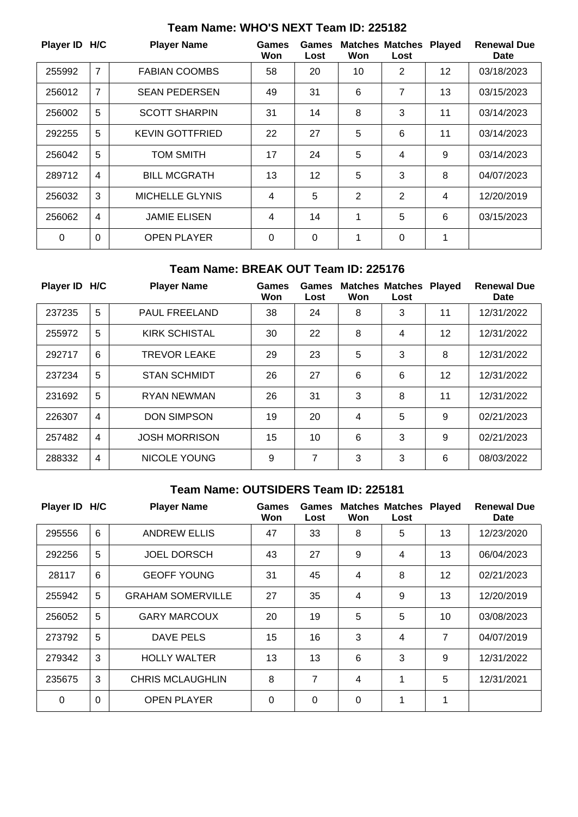| Player ID H/C |                | <b>Player Name</b>     | Games<br>Won | Games<br>Lost  | Won            | <b>Matches Matches</b><br>Lost | <b>Played</b> | <b>Renewal Due</b><br><b>Date</b> |
|---------------|----------------|------------------------|--------------|----------------|----------------|--------------------------------|---------------|-----------------------------------|
| 255992        | $\overline{7}$ | <b>FABIAN COOMBS</b>   | 58           | 20             | 10             | 2                              | 12            | 03/18/2023                        |
| 256012        | $\overline{7}$ | <b>SEAN PEDERSEN</b>   | 49           | 31             | 6              | 7                              | 13            | 03/15/2023                        |
| 256002        | 5              | <b>SCOTT SHARPIN</b>   | 31           | 14             | 8              | 3                              | 11            | 03/14/2023                        |
| 292255        | 5              | <b>KEVIN GOTTFRIED</b> | 22           | 27             | 5              | 6                              | 11            | 03/14/2023                        |
| 256042        | 5              | <b>TOM SMITH</b>       | 17           | 24             | 5              | 4                              | 9             | 03/14/2023                        |
| 289712        | $\overline{4}$ | <b>BILL MCGRATH</b>    | 13           | 12             | 5              | 3                              | 8             | 04/07/2023                        |
| 256032        | 3              | <b>MICHELLE GLYNIS</b> | 4            | 5              | $\overline{2}$ | 2                              | 4             | 12/20/2019                        |
| 256062        | 4              | <b>JAMIE ELISEN</b>    | 4            | 14             | 1              | 5                              | 6             | 03/15/2023                        |
| $\Omega$      | $\mathbf 0$    | <b>OPEN PLAYER</b>     | $\Omega$     | $\overline{0}$ | 1              | 0                              | 1             |                                   |

# **Team Name: WHO'S NEXT Team ID: 225182**

## **Team Name: BREAK OUT Team ID: 225176**

| Player ID H/C |                | <b>Player Name</b>   | Games<br>Won | Games<br>Lost | Won | <b>Matches Matches</b><br>Lost | <b>Played</b> | <b>Renewal Due</b><br><b>Date</b> |
|---------------|----------------|----------------------|--------------|---------------|-----|--------------------------------|---------------|-----------------------------------|
| 237235        | 5              | <b>PAUL FREELAND</b> | 38           | 24            | 8   | 3                              | 11            | 12/31/2022                        |
| 255972        | 5              | <b>KIRK SCHISTAL</b> | 30           | 22            | 8   | 4                              | 12            | 12/31/2022                        |
| 292717        | 6              | <b>TREVOR LEAKE</b>  | 29           | 23            | 5   | 3                              | 8             | 12/31/2022                        |
| 237234        | 5              | <b>STAN SCHMIDT</b>  | 26           | 27            | 6   | 6                              | 12            | 12/31/2022                        |
| 231692        | 5              | <b>RYAN NEWMAN</b>   | 26           | 31            | 3   | 8                              | 11            | 12/31/2022                        |
| 226307        | $\overline{4}$ | <b>DON SIMPSON</b>   | 19           | 20            | 4   | 5                              | 9             | 02/21/2023                        |
| 257482        | 4              | <b>JOSH MORRISON</b> | 15           | 10            | 6   | 3                              | 9             | 02/21/2023                        |
| 288332        | $\overline{4}$ | <b>NICOLE YOUNG</b>  | 9            | 7             | 3   | 3                              | 6             | 08/03/2022                        |

# **Team Name: OUTSIDERS Team ID: 225181**

| Player ID H/C |             | <b>Player Name</b>       | <b>Games</b><br>Won | Games<br>Lost | Won            | <b>Matches Matches</b><br>Lost | <b>Played</b> | <b>Renewal Due</b><br><b>Date</b> |
|---------------|-------------|--------------------------|---------------------|---------------|----------------|--------------------------------|---------------|-----------------------------------|
| 295556        | 6           | <b>ANDREW ELLIS</b>      | 47                  | 33            | 8              | 5                              | 13            | 12/23/2020                        |
| 292256        | 5           | <b>JOEL DORSCH</b>       | 43                  | 27            | 9              | 4                              | 13            | 06/04/2023                        |
| 28117         | 6           | <b>GEOFF YOUNG</b>       | 31                  | 45            | $\overline{4}$ | 8                              | 12            | 02/21/2023                        |
| 255942        | 5           | <b>GRAHAM SOMERVILLE</b> | 27                  | 35            | $\overline{4}$ | 9                              | 13            | 12/20/2019                        |
| 256052        | 5           | <b>GARY MARCOUX</b>      | 20                  | 19            | 5              | 5                              | 10            | 03/08/2023                        |
| 273792        | 5           | DAVE PELS                | 15                  | 16            | 3              | 4                              | 7             | 04/07/2019                        |
| 279342        | 3           | <b>HOLLY WALTER</b>      | 13                  | 13            | 6              | 3                              | 9             | 12/31/2022                        |
| 235675        | 3           | <b>CHRIS MCLAUGHLIN</b>  | 8                   | 7             | $\overline{4}$ | 1                              | 5             | 12/31/2021                        |
| $\Omega$      | $\mathbf 0$ | <b>OPEN PLAYER</b>       | 0                   | $\Omega$      | $\Omega$       | 1                              | 1             |                                   |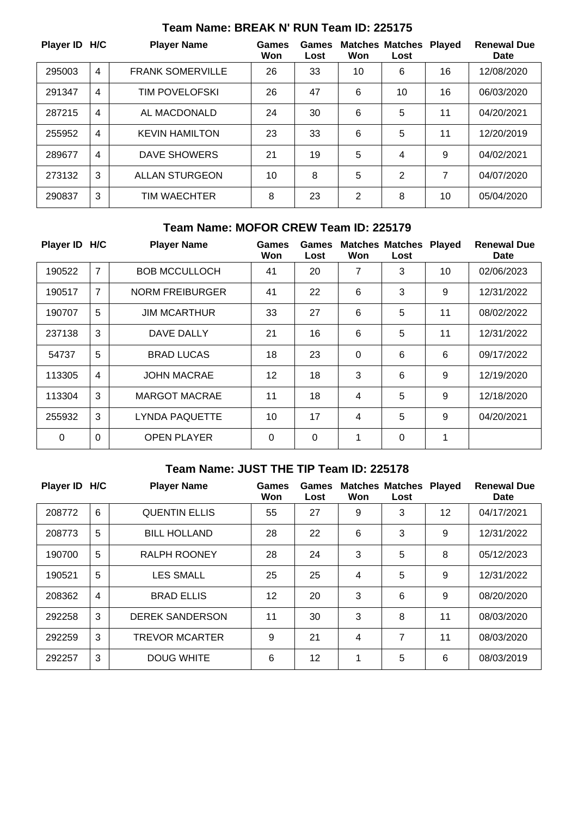| Player ID H/C |   | <b>Player Name</b>      | Games<br>Won | Games<br>Lost | Won | <b>Matches Matches</b><br>Lost | <b>Played</b> | <b>Renewal Due</b><br><b>Date</b> |
|---------------|---|-------------------------|--------------|---------------|-----|--------------------------------|---------------|-----------------------------------|
| 295003        | 4 | <b>FRANK SOMERVILLE</b> | 26           | 33            | 10  | 6                              | 16            | 12/08/2020                        |
| 291347        | 4 | <b>TIM POVELOFSKI</b>   | 26           | 47            | 6   | 10                             | 16            | 06/03/2020                        |
| 287215        | 4 | AL MACDONALD            | 24           | 30            | 6   | 5                              | 11            | 04/20/2021                        |
| 255952        | 4 | <b>KEVIN HAMILTON</b>   | 23           | 33            | 6   | 5                              | 11            | 12/20/2019                        |
| 289677        | 4 | <b>DAVE SHOWERS</b>     | 21           | 19            | 5   | 4                              | 9             | 04/02/2021                        |
| 273132        | 3 | ALLAN STURGEON          | 10           | 8             | 5   | 2                              | 7             | 04/07/2020                        |
| 290837        | 3 | TIM WAECHTER            | 8            | 23            | 2   | 8                              | 10            | 05/04/2020                        |

#### **Team Name: BREAK N' RUN Team ID: 225175**

## **Team Name: MOFOR CREW Team ID: 225179**

| Player ID H/C |                | <b>Player Name</b>     | Games<br>Won | Games<br>Lost | Won      | <b>Matches Matches</b><br>Lost | <b>Played</b> | <b>Renewal Due</b><br>Date |
|---------------|----------------|------------------------|--------------|---------------|----------|--------------------------------|---------------|----------------------------|
| 190522        | 7              | <b>BOB MCCULLOCH</b>   | 41           | 20            | 7        | 3                              | 10            | 02/06/2023                 |
| 190517        | 7              | <b>NORM FREIBURGER</b> | 41           | 22            | 6        | 3                              | 9             | 12/31/2022                 |
| 190707        | 5              | <b>JIM MCARTHUR</b>    | 33           | 27            | 6        | 5                              | 11            | 08/02/2022                 |
| 237138        | 3              | DAVE DALLY             | 21           | 16            | 6        | 5                              | 11            | 12/31/2022                 |
| 54737         | 5              | <b>BRAD LUCAS</b>      | 18           | 23            | $\Omega$ | 6                              | 6             | 09/17/2022                 |
| 113305        | $\overline{4}$ | <b>JOHN MACRAE</b>     | 12           | 18            | 3        | 6                              | 9             | 12/19/2020                 |
| 113304        | 3              | <b>MARGOT MACRAE</b>   | 11           | 18            | 4        | 5                              | 9             | 12/18/2020                 |
| 255932        | 3              | <b>LYNDA PAQUETTE</b>  | 10           | 17            | 4        | 5                              | 9             | 04/20/2021                 |
| $\Omega$      | $\Omega$       | <b>OPEN PLAYER</b>     | $\mathbf 0$  | 0             | 1        | 0                              | 1             |                            |

# **Team Name: JUST THE TIP Team ID: 225178**

| Player ID H/C |                | <b>Player Name</b>     | Games<br>Won | Games<br>Lost | Won | <b>Matches Matches Played</b><br>Lost |    | <b>Renewal Due</b><br>Date |
|---------------|----------------|------------------------|--------------|---------------|-----|---------------------------------------|----|----------------------------|
| 208772        | 6              | <b>QUENTIN ELLIS</b>   | 55           | 27            | 9   | 3                                     | 12 | 04/17/2021                 |
| 208773        | 5              | <b>BILL HOLLAND</b>    | 28           | 22            | 6   | 3                                     | 9  | 12/31/2022                 |
| 190700        | 5              | RALPH ROONEY           | 28           | 24            | 3   | 5                                     | 8  | 05/12/2023                 |
| 190521        | 5              | <b>LES SMALL</b>       | 25           | 25            | 4   | 5                                     | 9  | 12/31/2022                 |
| 208362        | $\overline{4}$ | <b>BRAD ELLIS</b>      | 12           | 20            | 3   | 6                                     | 9  | 08/20/2020                 |
| 292258        | 3              | <b>DEREK SANDERSON</b> | 11           | 30            | 3   | 8                                     | 11 | 08/03/2020                 |
| 292259        | 3              | <b>TREVOR MCARTER</b>  | 9            | 21            | 4   | 7                                     | 11 | 08/03/2020                 |
| 292257        | 3              | <b>DOUG WHITE</b>      | 6            | 12            | 1   | 5                                     | 6  | 08/03/2019                 |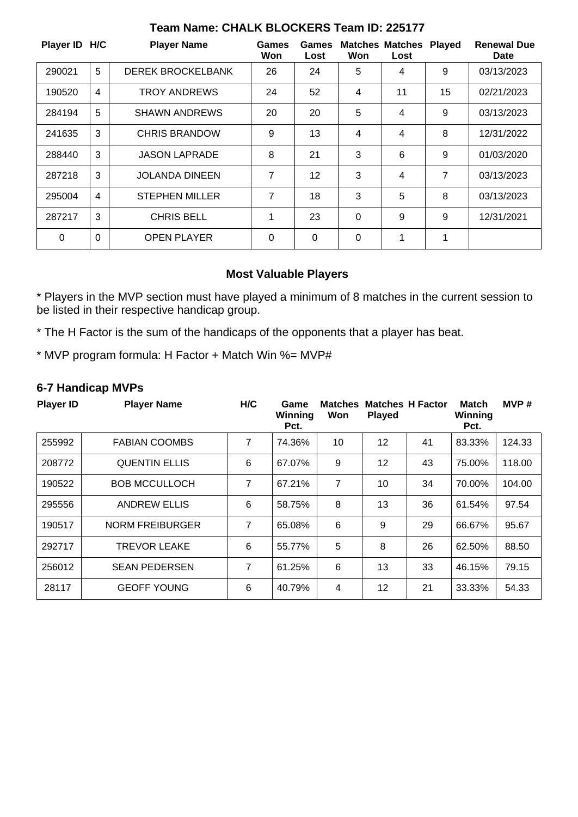| Player ID H/C |          | <b>Player Name</b>       | Games<br>Won   | Games<br>Lost | Won      | <b>Matches Matches Played</b><br>Lost |    | <b>Renewal Due</b><br>Date |
|---------------|----------|--------------------------|----------------|---------------|----------|---------------------------------------|----|----------------------------|
| 290021        | 5        | <b>DEREK BROCKELBANK</b> | 26             | 24            | 5        | 4                                     | 9  | 03/13/2023                 |
| 190520        | 4        | <b>TROY ANDREWS</b>      | 24             | 52            | 4        | 11                                    | 15 | 02/21/2023                 |
| 284194        | 5        | <b>SHAWN ANDREWS</b>     | 20             | 20            | 5        | 4                                     | 9  | 03/13/2023                 |
| 241635        | 3        | <b>CHRIS BRANDOW</b>     | 9              | 13            | 4        | 4                                     | 8  | 12/31/2022                 |
| 288440        | 3        | <b>JASON LAPRADE</b>     | 8              | 21            | 3        | 6                                     | 9  | 01/03/2020                 |
| 287218        | 3        | <b>JOLANDA DINEEN</b>    | $\overline{7}$ | 12            | 3        | 4                                     | 7  | 03/13/2023                 |
| 295004        | 4        | <b>STEPHEN MILLER</b>    | $\overline{7}$ | 18            | 3        | 5                                     | 8  | 03/13/2023                 |
| 287217        | 3        | <b>CHRIS BELL</b>        | 1              | 23            | $\Omega$ | 9                                     | 9  | 12/31/2021                 |
| $\Omega$      | $\Omega$ | <b>OPEN PLAYER</b>       | 0              | 0             | 0        | 1                                     | 1  |                            |

## **Team Name: CHALK BLOCKERS Team ID: 225177**

## **Most Valuable Players**

\* Players in the MVP section must have played a minimum of 8 matches in the current session to be listed in their respective handicap group.

\* The H Factor is the sum of the handicaps of the opponents that a player has beat.

\* MVP program formula: H Factor + Match Win %= MVP#

## **6-7 Handicap MVPs**

| <b>Player ID</b> | <b>Player Name</b>     | H/C | Game<br>Winning<br>Pct. | <b>Matches</b><br>Won | <b>Played</b>   | <b>Matches H Factor</b> | <b>Match</b><br>Winning<br>Pct. | MVP#   |
|------------------|------------------------|-----|-------------------------|-----------------------|-----------------|-------------------------|---------------------------------|--------|
| 255992           | <b>FABIAN COOMBS</b>   | 7   | 74.36%                  | 10                    | 12              | 41                      | 83.33%                          | 124.33 |
| 208772           | <b>QUENTIN ELLIS</b>   | 6   | 67.07%                  | 9                     | 12 <sup>2</sup> | 43                      | 75.00%                          | 118.00 |
| 190522           | <b>BOB MCCULLOCH</b>   | 7   | 67.21%                  | 7                     | 10              | 34                      | 70.00%                          | 104.00 |
| 295556           | <b>ANDREW ELLIS</b>    | 6   | 58.75%                  | 8                     | 13              | 36                      | 61.54%                          | 97.54  |
| 190517           | <b>NORM FREIBURGER</b> | 7   | 65.08%                  | 6                     | 9               | 29                      | 66.67%                          | 95.67  |
| 292717           | <b>TREVOR LEAKE</b>    | 6   | 55.77%                  | 5                     | 8               | 26                      | 62.50%                          | 88.50  |
| 256012           | <b>SEAN PEDERSEN</b>   | 7   | 61.25%                  | 6                     | 13              | 33                      | 46.15%                          | 79.15  |
| 28117            | <b>GEOFF YOUNG</b>     | 6   | 40.79%                  | 4                     | 12              | 21                      | 33.33%                          | 54.33  |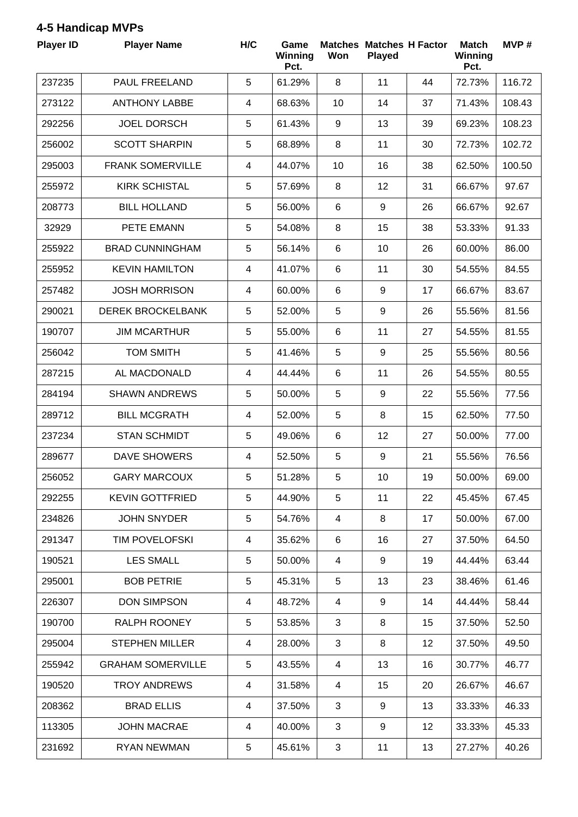## **4-5 Handicap MVPs**

| <b>Player ID</b> | <b>Player Name</b>       | H/C            | Game<br>Winning<br>Pct. | Won             | <b>Matches Matches H Factor</b><br><b>Played</b> |    | <b>Match</b><br>Winning<br>Pct. | MVP#   |
|------------------|--------------------------|----------------|-------------------------|-----------------|--------------------------------------------------|----|---------------------------------|--------|
| 237235           | PAUL FREELAND            | 5              | 61.29%                  | 8               | 11                                               | 44 | 72.73%                          | 116.72 |
| 273122           | <b>ANTHONY LABBE</b>     | $\overline{4}$ | 68.63%                  | 10              | 14                                               | 37 | 71.43%                          | 108.43 |
| 292256           | <b>JOEL DORSCH</b>       | 5              | 61.43%                  | 9               | 13                                               | 39 | 69.23%                          | 108.23 |
| 256002           | <b>SCOTT SHARPIN</b>     | 5              | 68.89%                  | 8               | 11                                               | 30 | 72.73%                          | 102.72 |
| 295003           | <b>FRANK SOMERVILLE</b>  | $\overline{4}$ | 44.07%                  | 10              | 16                                               | 38 | 62.50%                          | 100.50 |
| 255972           | <b>KIRK SCHISTAL</b>     | 5              | 57.69%                  | 8               | 12                                               | 31 | 66.67%                          | 97.67  |
| 208773           | <b>BILL HOLLAND</b>      | 5              | 56.00%                  | 6               | 9                                                | 26 | 66.67%                          | 92.67  |
| 32929            | PETE EMANN               | 5              | 54.08%                  | 8               | 15                                               | 38 | 53.33%                          | 91.33  |
| 255922           | <b>BRAD CUNNINGHAM</b>   | 5              | 56.14%                  | $6\phantom{1}$  | 10                                               | 26 | 60.00%                          | 86.00  |
| 255952           | <b>KEVIN HAMILTON</b>    | 4              | 41.07%                  | 6               | 11                                               | 30 | 54.55%                          | 84.55  |
| 257482           | <b>JOSH MORRISON</b>     | $\overline{4}$ | 60.00%                  | $6\phantom{1}$  | 9                                                | 17 | 66.67%                          | 83.67  |
| 290021           | <b>DEREK BROCKELBANK</b> | 5              | 52.00%                  | 5               | 9                                                | 26 | 55.56%                          | 81.56  |
| 190707           | <b>JIM MCARTHUR</b>      | 5              | 55.00%                  | $6\phantom{1}6$ | 11                                               | 27 | 54.55%                          | 81.55  |
| 256042           | <b>TOM SMITH</b>         | 5              | 41.46%                  | 5               | 9                                                | 25 | 55.56%                          | 80.56  |
| 287215           | AL MACDONALD             | 4              | 44.44%                  | 6               | 11                                               | 26 | 54.55%                          | 80.55  |
| 284194           | <b>SHAWN ANDREWS</b>     | 5              | 50.00%                  | 5               | 9                                                | 22 | 55.56%                          | 77.56  |
| 289712           | <b>BILL MCGRATH</b>      | $\overline{4}$ | 52.00%                  | 5               | 8                                                | 15 | 62.50%                          | 77.50  |
| 237234           | <b>STAN SCHMIDT</b>      | 5              | 49.06%                  | $\,6$           | 12                                               | 27 | 50.00%                          | 77.00  |
| 289677           | <b>DAVE SHOWERS</b>      | 4              | 52.50%                  | 5               | 9                                                | 21 | 55.56%                          | 76.56  |
| 256052           | <b>GARY MARCOUX</b>      | 5              | 51.28%                  | 5               | 10                                               | 19 | 50.00%                          | 69.00  |
| 292255           | <b>KEVIN GOTTFRIED</b>   | $\,$ 5 $\,$    | 44.90%                  | 5               | 11                                               | 22 | 45.45%                          | 67.45  |
| 234826           | <b>JOHN SNYDER</b>       | 5              | 54.76%                  | 4               | 8                                                | 17 | 50.00%                          | 67.00  |
| 291347           | <b>TIM POVELOFSKI</b>    | $\overline{4}$ | 35.62%                  | 6               | 16                                               | 27 | 37.50%                          | 64.50  |
| 190521           | <b>LES SMALL</b>         | 5              | 50.00%                  | 4               | 9                                                | 19 | 44.44%                          | 63.44  |
| 295001           | <b>BOB PETRIE</b>        | 5              | 45.31%                  | 5               | 13                                               | 23 | 38.46%                          | 61.46  |
| 226307           | <b>DON SIMPSON</b>       | 4              | 48.72%                  | $\overline{4}$  | 9                                                | 14 | 44.44%                          | 58.44  |
| 190700           | RALPH ROONEY             | 5              | 53.85%                  | 3               | 8                                                | 15 | 37.50%                          | 52.50  |
| 295004           | <b>STEPHEN MILLER</b>    | 4              | 28.00%                  | 3               | 8                                                | 12 | 37.50%                          | 49.50  |
| 255942           | <b>GRAHAM SOMERVILLE</b> | 5              | 43.55%                  | 4               | 13                                               | 16 | 30.77%                          | 46.77  |
| 190520           | <b>TROY ANDREWS</b>      | $\overline{4}$ | 31.58%                  | $\overline{4}$  | 15                                               | 20 | 26.67%                          | 46.67  |
| 208362           | <b>BRAD ELLIS</b>        | 4              | 37.50%                  | 3               | 9                                                | 13 | 33.33%                          | 46.33  |
| 113305           | <b>JOHN MACRAE</b>       | 4              | 40.00%                  | 3               | 9                                                | 12 | 33.33%                          | 45.33  |
| 231692           | <b>RYAN NEWMAN</b>       | 5              | 45.61%                  | $\mathbf{3}$    | 11                                               | 13 | 27.27%                          | 40.26  |